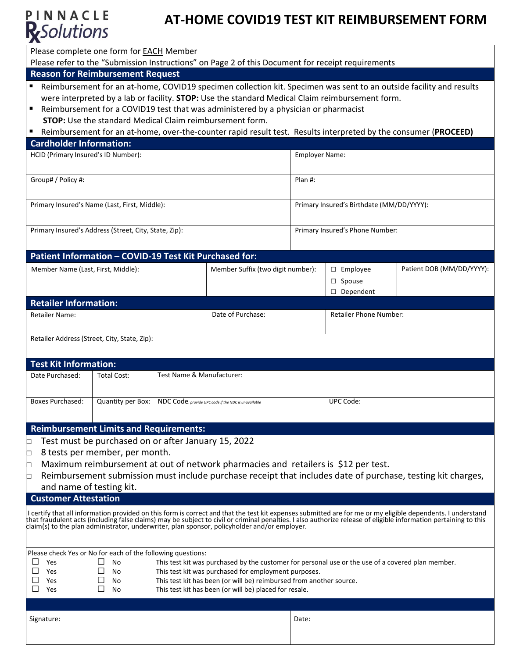

# **AT-HOME COVID19 TEST KIT REIMBURSEMENT FORM**

Please complete one form for EACH Member

Please refer to the "Submission Instructions" on Page 2 of this Document for receipt requirements

### **Reason for Reimbursement Request**

- Reimbursement for an at-home, COVID19 specimen collection kit. Specimen was sent to an outside facility and results were interpreted by a lab or facility. **STOP:** Use the standard Medical Claim reimbursement form.
- Reimbursement for a COVID19 test that was administered by a physician or pharmacist **STOP:** Use the standard Medical Claim reimbursement form.
- Reimbursement for an at-home, over-the-counter rapid result test. Results interpreted by the consumer (**PROCEED)**

# **Cardholder Information:** HCID (Primary Insured's ID Number): Employer Name: Group# / Policy #**:** Plan #: Primary Insured's Name (Last, First, Middle): Primary Insured's Birthdate (MM/DD/YYYY): Primary Insured's Address (Street, City, State, Zip): Primary Insured's Phone Number: **Patient Information – COVID-19 Test Kit Purchased for:** Member Name (Last, First, Middle): Nember Suffix (two digit number): □ Employee □ Spouse □ Dependent Patient DOB (MM/DD/YYYY):

| <b>Retailer Information:</b>                 |                     |                        |  |  |  |
|----------------------------------------------|---------------------|------------------------|--|--|--|
| <b>Retailer Name:</b>                        | l Date of Purchase: | Retailer Phone Number: |  |  |  |
|                                              |                     |                        |  |  |  |
| Retailer Address (Street, City, State, Zip): |                     |                        |  |  |  |

#### **Test Kit Information:**

| Date Purchased:  | Total Cost: | Test Name & Manufacturer:                                              |           |
|------------------|-------------|------------------------------------------------------------------------|-----------|
|                  |             |                                                                        |           |
| Boxes Purchased: |             | Quantity per Box: NDC Code: provide UPC code if the NDC is unavailable | UPC Code: |
|                  |             |                                                                        |           |

#### **Reimbursement Limits and Requirements:**

□ Test must be purchased on or after January 15, 2022

- □ 8 tests per member, per month.
- $\Box$  Maximum reimbursement at out of network pharmacies and retailers is \$12 per test.
- □ Reimbursement submission must include purchase receipt that includes date of purchase, testing kit charges,

# and name of testing kit.

**Customer Attestation**

I certify that all information provided on this form is correct and that the test kit expenses submitted are for me or my eligible dependents. I understand that fraudulent acts (including false claims) may be subject to civil or criminal penalties. I also authorize release of eligible information pertaining to this claim(s) to the plan administrator, underwriter, plan sponsor, policyholder and/or employer.

| Please check Yes or No for each of the following questions: |     |  |     |                                                                                                   |  |  |
|-------------------------------------------------------------|-----|--|-----|---------------------------------------------------------------------------------------------------|--|--|
|                                                             | Yes |  | No  | This test kit was purchased by the customer for personal use or the use of a covered plan member. |  |  |
|                                                             | Yes |  | No  | This test kit was purchased for employment purposes.                                              |  |  |
|                                                             | Yes |  | No  | This test kit has been (or will be) reimbursed from another source.                               |  |  |
|                                                             | Yes |  | No. | This test kit has been (or will be) placed for resale.                                            |  |  |
|                                                             |     |  |     |                                                                                                   |  |  |
|                                                             |     |  |     |                                                                                                   |  |  |

Signature: Date: